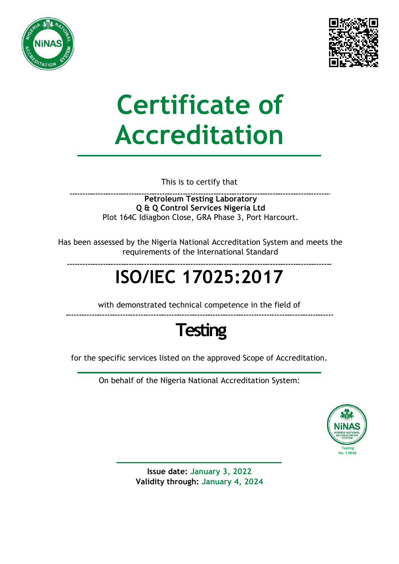



# **Certificate of Accreditation**

This is to certify that

**Petroleum Testing Laboratory Q & Q Control Services Nigeria Ltd** Plot 164C Idiagbon Close, GRA Phase 3, Port Harcourt.

Has been assessed by the Nigeria National Accreditation System and meets the requirements of the International Standard

## **ISO/IEC 17025:2017**

with demonstrated technical competence in the field of



for the specific services listed on the approved Scope of Accreditation.

On behalf of the Nigeria National Accreditation System:



**Issue date: January 3, 2022 Validity through: January 4, 2024**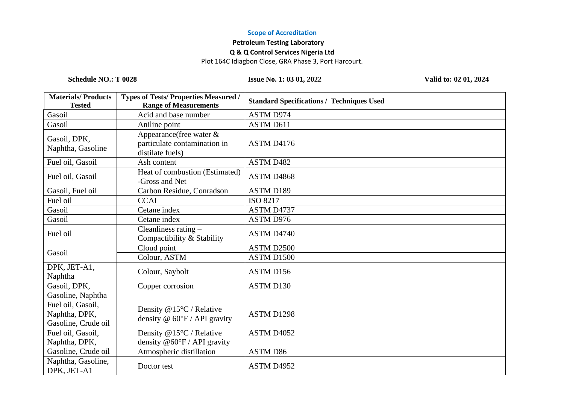#### **Scope of Accreditation**

### **Petroleum Testing Laboratory**

#### **Q & Q Control Services Nigeria Ltd**

Plot 164C Idiagbon Close, GRA Phase 3, Port Harcourt.

**Schedule NO.: T 0028 Issue No. 1: 03 01, 2022 Valid to: 02 01, 2024**

| <b>Materials/Products</b><br><b>Tested</b>                | <b>Types of Tests/Properties Measured /</b><br><b>Range of Measurements</b>     | <b>Standard Specifications / Techniques Used</b> |
|-----------------------------------------------------------|---------------------------------------------------------------------------------|--------------------------------------------------|
| Gasoil                                                    | Acid and base number                                                            | <b>ASTM D974</b>                                 |
| Gasoil                                                    | Aniline point                                                                   | ASTM D611                                        |
| Gasoil, DPK,<br>Naphtha, Gasoline                         | Appearance (free water $\&$<br>particulate contamination in<br>distilate fuels) | ASTM D4176                                       |
| Fuel oil, Gasoil                                          | Ash content                                                                     | ASTM D482                                        |
| Fuel oil, Gasoil                                          | Heat of combustion (Estimated)<br>-Gross and Net                                | ASTM D4868                                       |
| Gasoil, Fuel oil                                          | Carbon Residue, Conradson                                                       | <b>ASTM D189</b>                                 |
| Fuel oil                                                  | <b>CCAI</b>                                                                     | ISO 8217                                         |
| Gasoil                                                    | Cetane index                                                                    | ASTM D4737                                       |
| Gasoil                                                    | Cetane index                                                                    | ASTM D976                                        |
| Fuel oil                                                  | Cleanliness rating -<br>Compactibility & Stability                              | ASTM D4740                                       |
| Gasoil                                                    | Cloud point                                                                     | ASTM D2500                                       |
|                                                           | Colour, ASTM                                                                    | ASTM D1500                                       |
| DPK, JET-A1,<br>Naphtha                                   | Colour, Saybolt                                                                 | ASTM D156                                        |
| Gasoil, DPK,<br>Gasoline, Naphtha                         | Copper corrosion                                                                | ASTM D130                                        |
| Fuel oil, Gasoil,<br>Naphtha, DPK,<br>Gasoline, Crude oil | Density @15°C / Relative<br>density $@$ 60°F / API gravity                      | <b>ASTM D1298</b>                                |
| Fuel oil, Gasoil,<br>Naphtha, DPK,                        | Density @15°C / Relative<br>density $@60^{\circ}F / API$ gravity                | ASTM D4052                                       |
| Gasoline, Crude oil                                       | Atmospheric distillation                                                        | <b>ASTM D86</b>                                  |
| Naphtha, Gasoline,<br>DPK, JET-A1                         | Doctor test                                                                     | ASTM D4952                                       |